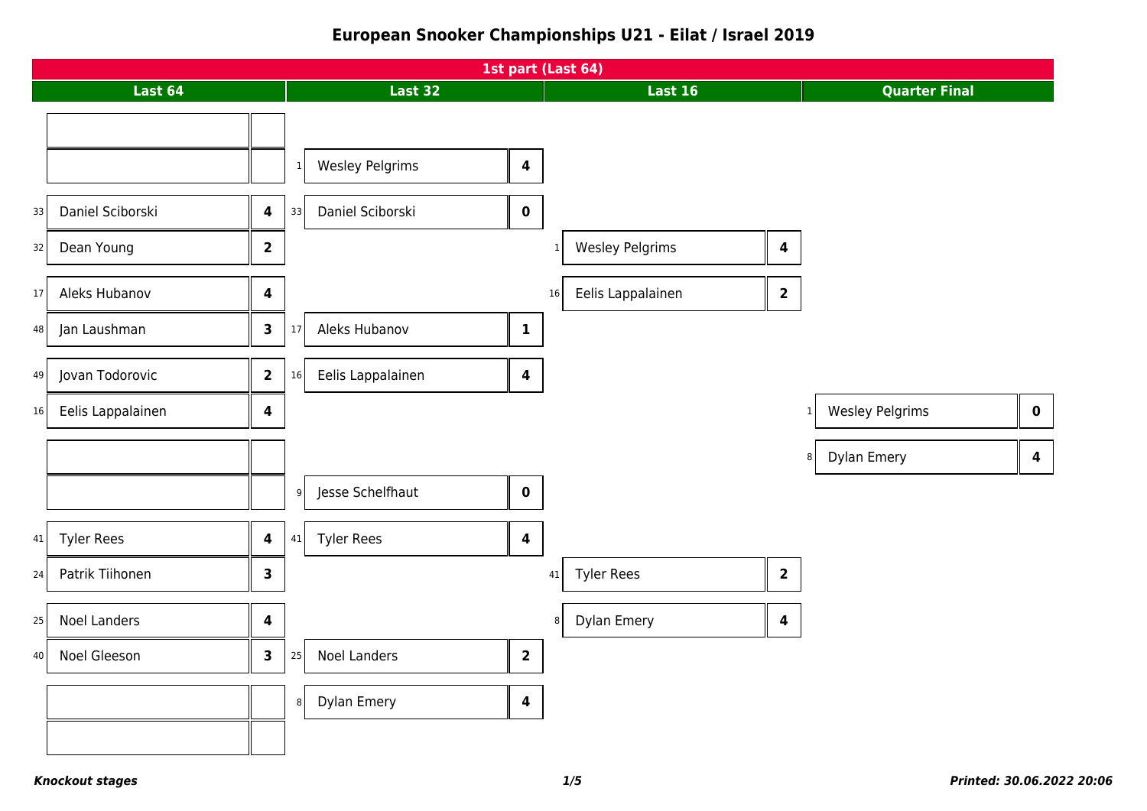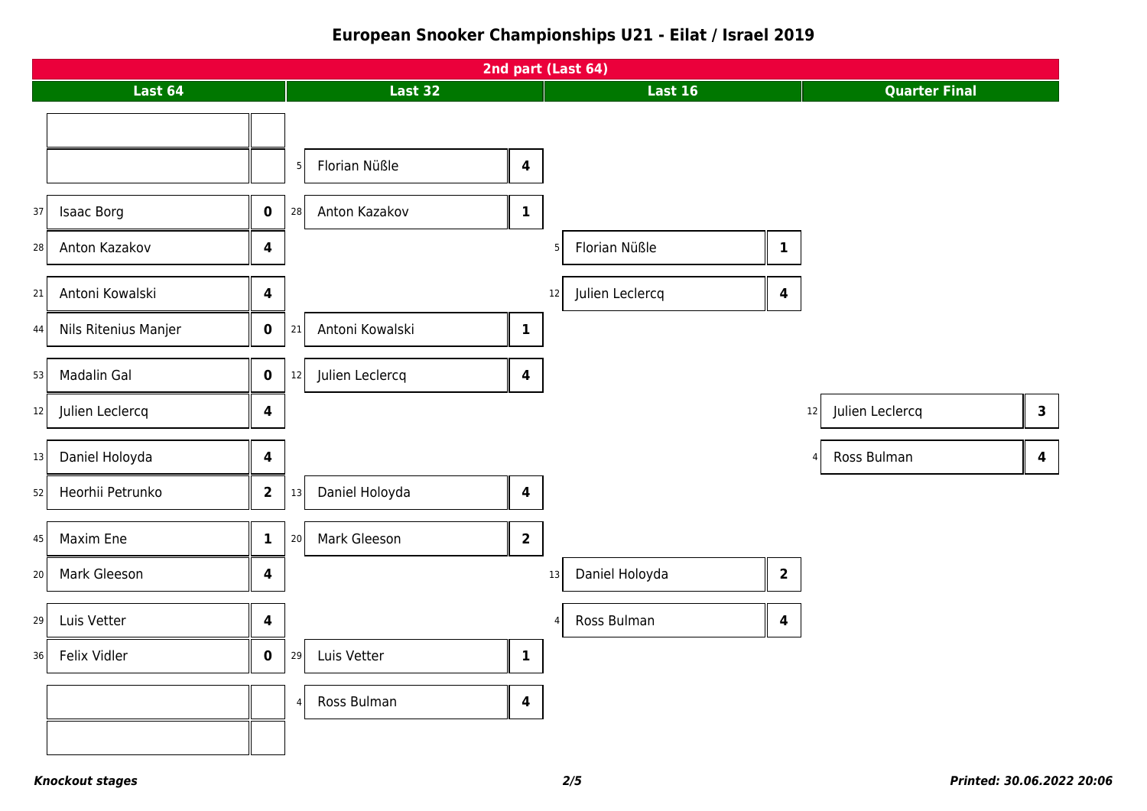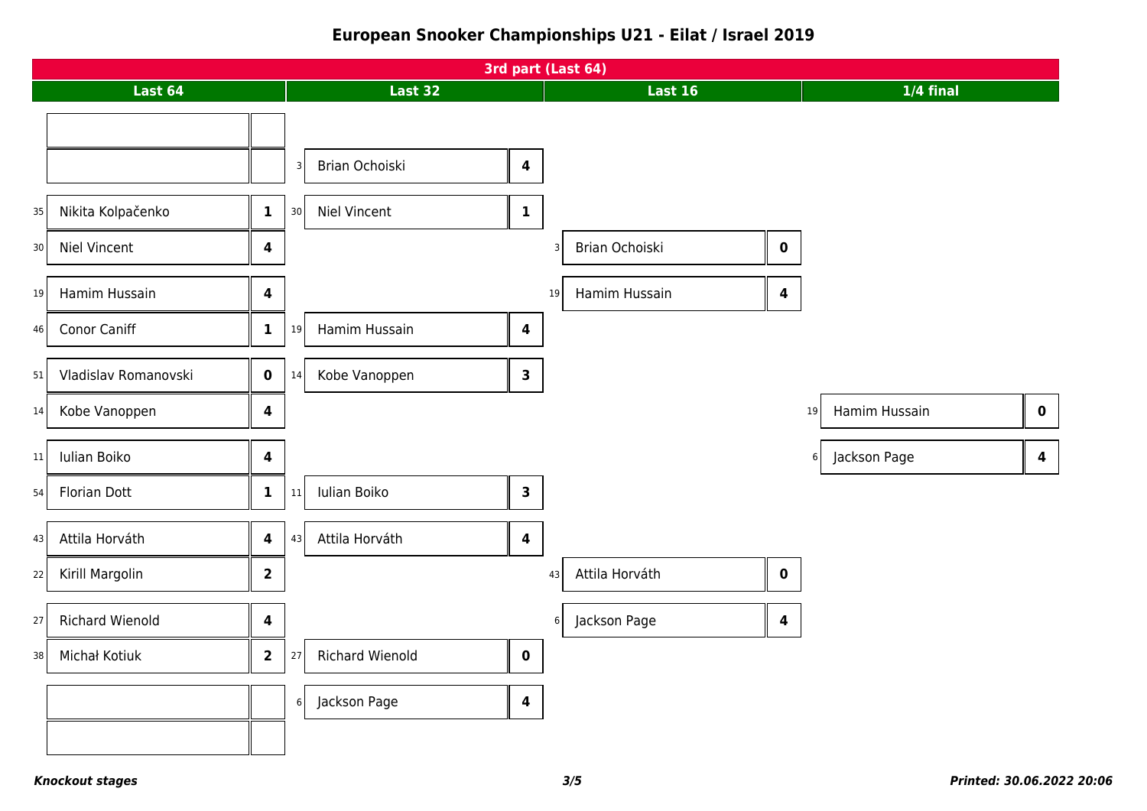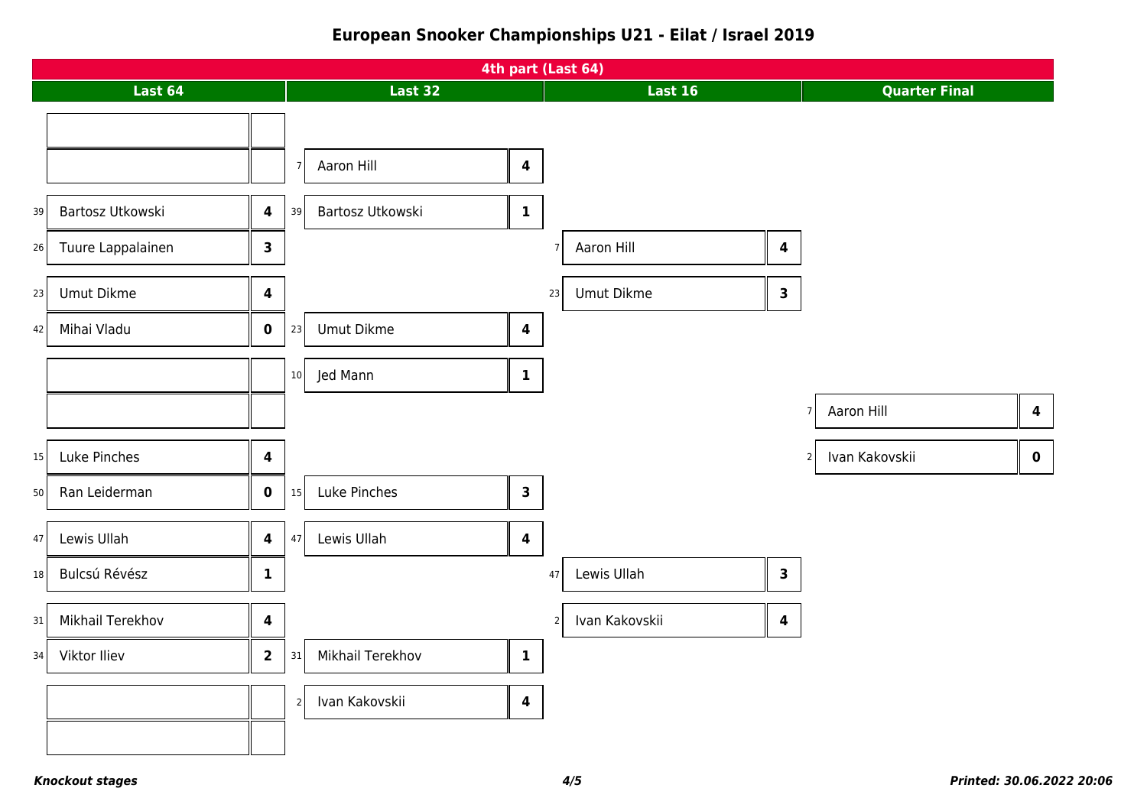